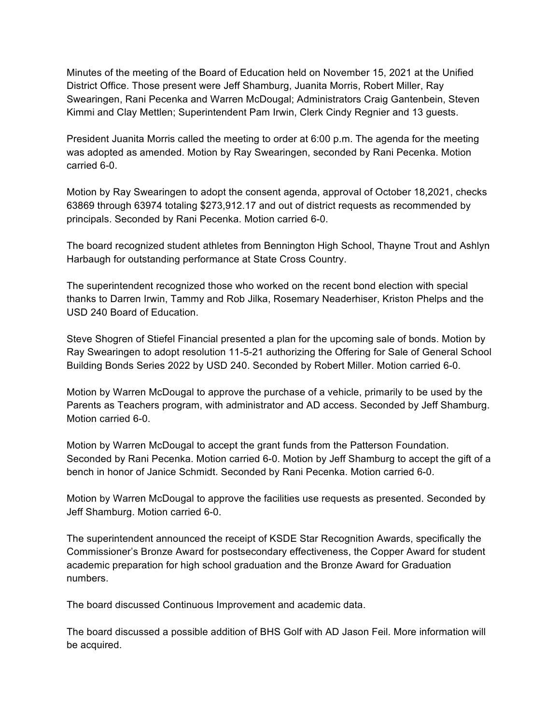Minutes of the meeting of the Board of Education held on November 15, 2021 at the Unified District Office. Those present were Jeff Shamburg, Juanita Morris, Robert Miller, Ray Swearingen, Rani Pecenka and Warren McDougal; Administrators Craig Gantenbein, Steven Kimmi and Clay Mettlen; Superintendent Pam Irwin, Clerk Cindy Regnier and 13 guests.

President Juanita Morris called the meeting to order at 6:00 p.m. The agenda for the meeting was adopted as amended. Motion by Ray Swearingen, seconded by Rani Pecenka. Motion carried 6-0.

Motion by Ray Swearingen to adopt the consent agenda, approval of October 18,2021, checks 63869 through 63974 totaling \$273,912.17 and out of district requests as recommended by principals. Seconded by Rani Pecenka. Motion carried 6-0.

The board recognized student athletes from Bennington High School, Thayne Trout and Ashlyn Harbaugh for outstanding performance at State Cross Country.

The superintendent recognized those who worked on the recent bond election with special thanks to Darren Irwin, Tammy and Rob Jilka, Rosemary Neaderhiser, Kriston Phelps and the USD 240 Board of Education.

Steve Shogren of Stiefel Financial presented a plan for the upcoming sale of bonds. Motion by Ray Swearingen to adopt resolution 11-5-21 authorizing the Offering for Sale of General School Building Bonds Series 2022 by USD 240. Seconded by Robert Miller. Motion carried 6-0.

Motion by Warren McDougal to approve the purchase of a vehicle, primarily to be used by the Parents as Teachers program, with administrator and AD access. Seconded by Jeff Shamburg. Motion carried 6-0.

Motion by Warren McDougal to accept the grant funds from the Patterson Foundation. Seconded by Rani Pecenka. Motion carried 6-0. Motion by Jeff Shamburg to accept the gift of a bench in honor of Janice Schmidt. Seconded by Rani Pecenka. Motion carried 6-0.

Motion by Warren McDougal to approve the facilities use requests as presented. Seconded by Jeff Shamburg. Motion carried 6-0.

The superintendent announced the receipt of KSDE Star Recognition Awards, specifically the Commissioner's Bronze Award for postsecondary effectiveness, the Copper Award for student academic preparation for high school graduation and the Bronze Award for Graduation numbers.

The board discussed Continuous Improvement and academic data.

The board discussed a possible addition of BHS Golf with AD Jason Feil. More information will be acquired.